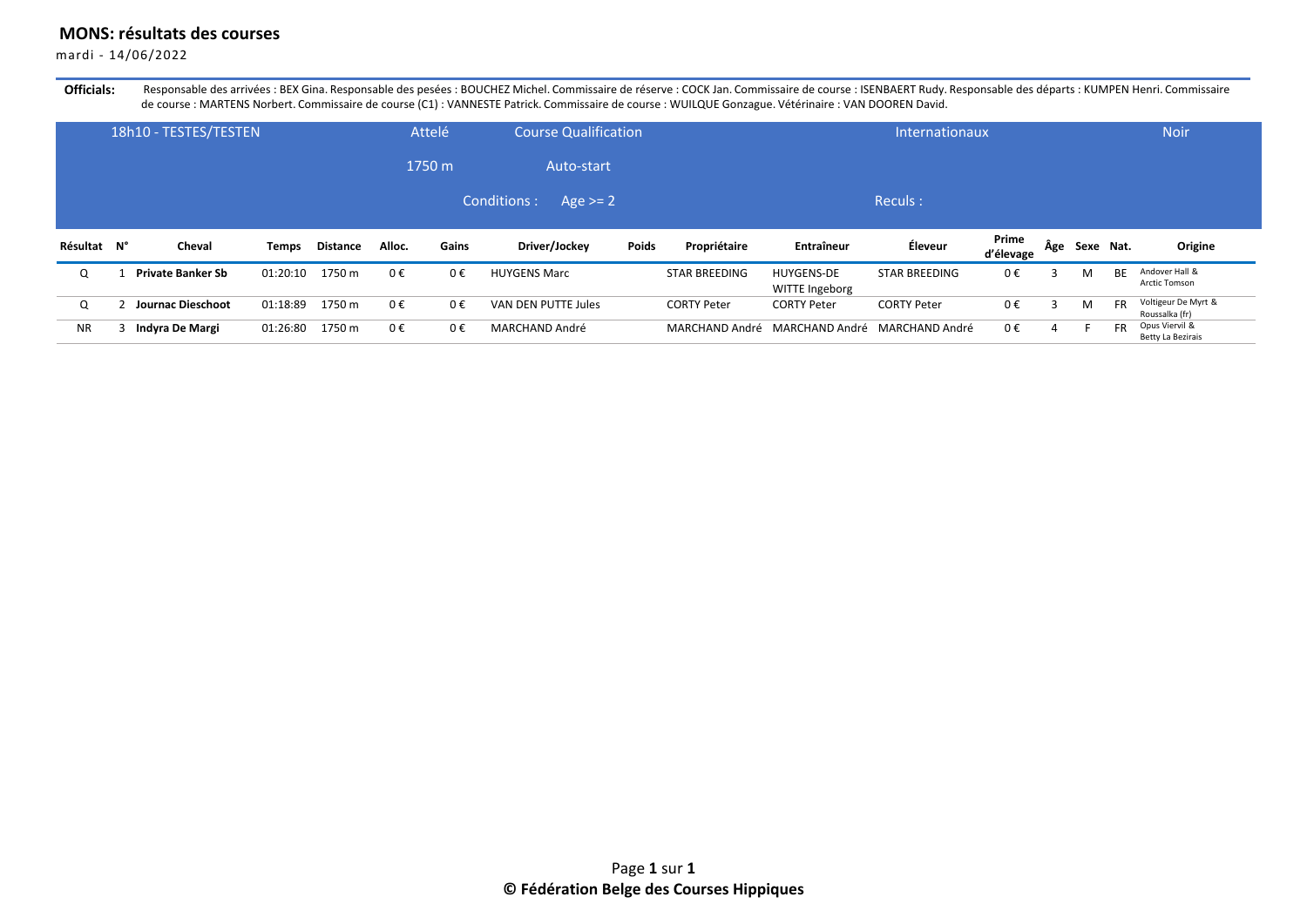## **MONS: résultats des courses**

mardi - 14/06/2022

Officials: Responsable des arrivées : BEX Gina. Responsable des pesées : BOUCHEZ Michel. Commissaire de réserve : COCK Jan. Commissaire de course : ISENBAERT Rudy. Responsable des départs : KUMPEN Henri. Commissaire de course : MARTENS Norbert. Commissaire de course (C1) : VANNESTE Patrick. Commissaire de course : WUILQUE Gonzague. Vétérinaire : VAN DOOREN David.

|             | 18h10 - TESTES/TESTEN    |              |                 |        | Attelé | <b>Course Qualification</b> |       |                      |                                     | Internationaux       |                    |     |           |           | <b>Noir</b>                           |
|-------------|--------------------------|--------------|-----------------|--------|--------|-----------------------------|-------|----------------------|-------------------------------------|----------------------|--------------------|-----|-----------|-----------|---------------------------------------|
|             |                          |              |                 |        | 1750 m | Auto-start                  |       |                      |                                     |                      |                    |     |           |           |                                       |
|             |                          |              |                 |        |        | Conditions :<br>Age $>= 2$  |       |                      |                                     | Reculs:              |                    |     |           |           |                                       |
|             |                          |              |                 |        |        |                             |       |                      |                                     |                      |                    |     |           |           |                                       |
| Résultat N° | Cheval                   | <b>Temps</b> | <b>Distance</b> | Alloc. | Gains  | Driver/Jockey               | Poids | Propriétaire         | <b>Entraîneur</b>                   | Éleveur              | Prime<br>d'élevage | Age | Sexe Nat. |           | Origine                               |
| O           | <b>Private Banker Sb</b> | 01:20:10     | 1750 m          | 0€     | 0€     | <b>HUYGENS Marc</b>         |       | <b>STAR BREEDING</b> | <b>HUYGENS-DE</b><br>WITTE Ingeborg | <b>STAR BREEDING</b> | $0 \in$            |     | М         | <b>BE</b> | Andover Hall &<br>Arctic Tomson       |
| $\Omega$    | <b>Journac Dieschoot</b> | 01:18:89     | 1750 m          | 0€     | 0€     | VAN DEN PUTTE Jules         |       | <b>CORTY Peter</b>   | <b>CORTY Peter</b>                  | <b>CORTY Peter</b>   | $0 \in$            |     | М         | <b>FR</b> | Voltigeur De Myrt &<br>Roussalka (fr) |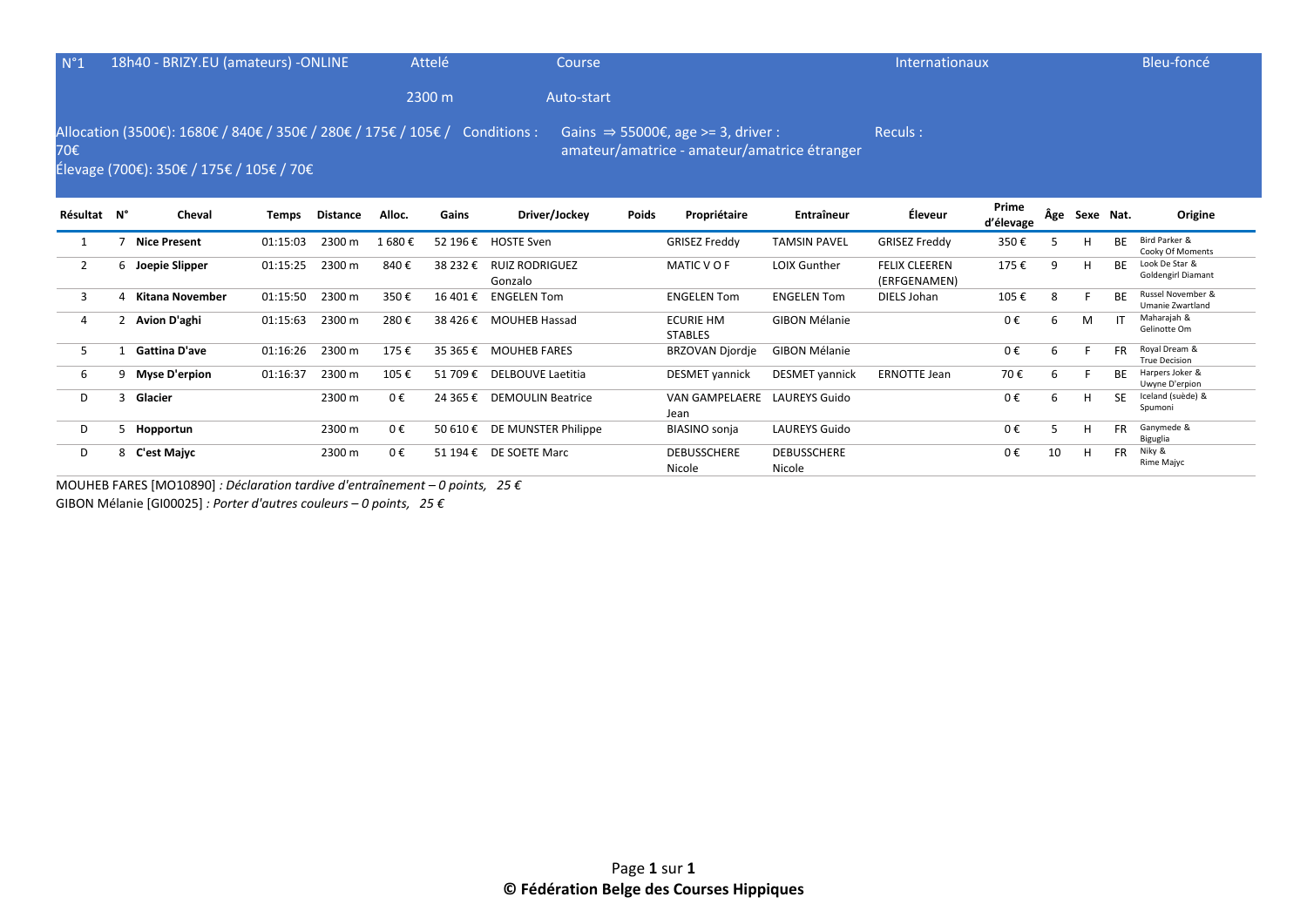| $N^{\circ}1$   |   | 18h40 - BRIZY.EU (amateurs) - ONLINE                                                                       |          |                 |         | Attelé<br>2300 m | Course<br>Auto-start             |       |                                                                                                |                       | Internationaux                       |                    |   |               |           | Bleu-foncé                                   |
|----------------|---|------------------------------------------------------------------------------------------------------------|----------|-----------------|---------|------------------|----------------------------------|-------|------------------------------------------------------------------------------------------------|-----------------------|--------------------------------------|--------------------|---|---------------|-----------|----------------------------------------------|
| 70€            |   | Allocation (3500€): 1680€ / 840€ / 350€ / 280€ / 175€ / 105€ /<br>Élevage (700€): 350€ / 175€ / 105€ / 70€ |          |                 |         |                  | Conditions :                     |       | Gains $\Rightarrow$ 55000€, age >= 3, driver :<br>amateur/amatrice - amateur/amatrice étranger |                       | Reculs:                              |                    |   |               |           |                                              |
| Résultat N°    |   | Cheval                                                                                                     | Temps    | <b>Distance</b> | Alloc.  | Gains            | Driver/Jockey                    | Poids | Propriétaire                                                                                   | Entraîneur            | Éleveur                              | Prime<br>d'élevage |   | Âge Sexe Nat. |           | Origine                                      |
|                |   | <b>Nice Present</b>                                                                                        | 01:15:03 | 2300 m          | 1 680 € | 52 196 €         | <b>HOSTE Sven</b>                |       | <b>GRISEZ Freddy</b>                                                                           | <b>TAMSIN PAVEL</b>   | <b>GRISEZ Freddy</b>                 | 350€               | 5 | Н             | BE        | Bird Parker &<br>Cooky Of Moments            |
| $\overline{2}$ |   | 6 Joepie Slipper                                                                                           | 01:15:25 | 2300 m          | 840€    | 38 232 €         | <b>RUIZ RODRIGUEZ</b><br>Gonzalo |       | MATIC V O F                                                                                    | LOIX Gunther          | <b>FELIX CLEEREN</b><br>(ERFGENAMEN) | 175€               | 9 | Н             | <b>BE</b> | Look De Star &<br><b>Goldengirl Diamant</b>  |
| 3              | 4 | Kitana November                                                                                            | 01:15:50 | 2300 m          | 350€    | 16 401 €         | <b>ENGELEN Tom</b>               |       | <b>ENGELEN Tom</b>                                                                             | <b>ENGELEN Tom</b>    | DIELS Johan                          | 105€               | 8 |               | <b>BE</b> | Russel November &<br><b>Umanie Zwartland</b> |
| 4              |   | Avion D'aghi                                                                                               | 01:15:63 | 2300 m          | 280€    | 38 4 26 €        | <b>MOUHEB Hassad</b>             |       | <b>ECURIE HM</b><br><b>STABLES</b>                                                             | <b>GIBON Mélanie</b>  |                                      | 0€                 | 6 | М             |           | Maharajah &<br>Gelinotte Om                  |
| .5             |   | <b>Gattina D'ave</b>                                                                                       | 01:16:26 | 2300 m          | 175€    | 35 365 €         | <b>MOUHEB FARES</b>              |       | <b>BRZOVAN Djordje</b>                                                                         | <b>GIBON Mélanie</b>  |                                      | 0€                 | 6 |               | <b>FR</b> | Royal Dream &<br><b>True Decision</b>        |
| 6              |   | 9 Myse D'erpion                                                                                            | 01:16:37 | 2300 m          | 105€    | 51 709€          | DELBOUVE Laetitia                |       | <b>DESMET</b> vannick                                                                          | <b>DESMET</b> vannick | <b>ERNOTTE Jean</b>                  | 70€                | 6 |               | <b>BE</b> | Harpers Joker &<br>Uwyne D'erpion            |
| D              | κ | Glacier                                                                                                    |          | 2300 m          | $0 \in$ | 24 365 €         | <b>DEMOULIN Beatrice</b>         |       | VAN GAMPELAERE<br>Jean                                                                         | <b>LAUREYS Guido</b>  |                                      | 0€                 | 6 | Н             | <b>SF</b> | Iceland (suède) &<br>Spumoni                 |

D 5 **Hopportun** 2300 m 0 € 50 610 € DE MUNSTER Philippe BIASINO sonja LAUREYS Guido 0 € 5 H FR Ganymede &

Nicole

**DEBUSSCHERE** Nicole

Biguglia<br>Niky &

Rime Majyc

0 € 10 H FR Niky &

MOUHEB FARES [MO10890] *: Déclaration tardive d'entraînement – 0 points, 25 €* GIBON Mélanie [GI00025] *: Porter d'autres couleurs – 0 points, 25 €*

D 8 **C'est Majyc** 2300 m 0 € 51 194 € DE SOETE Marc DEBUSSCHERE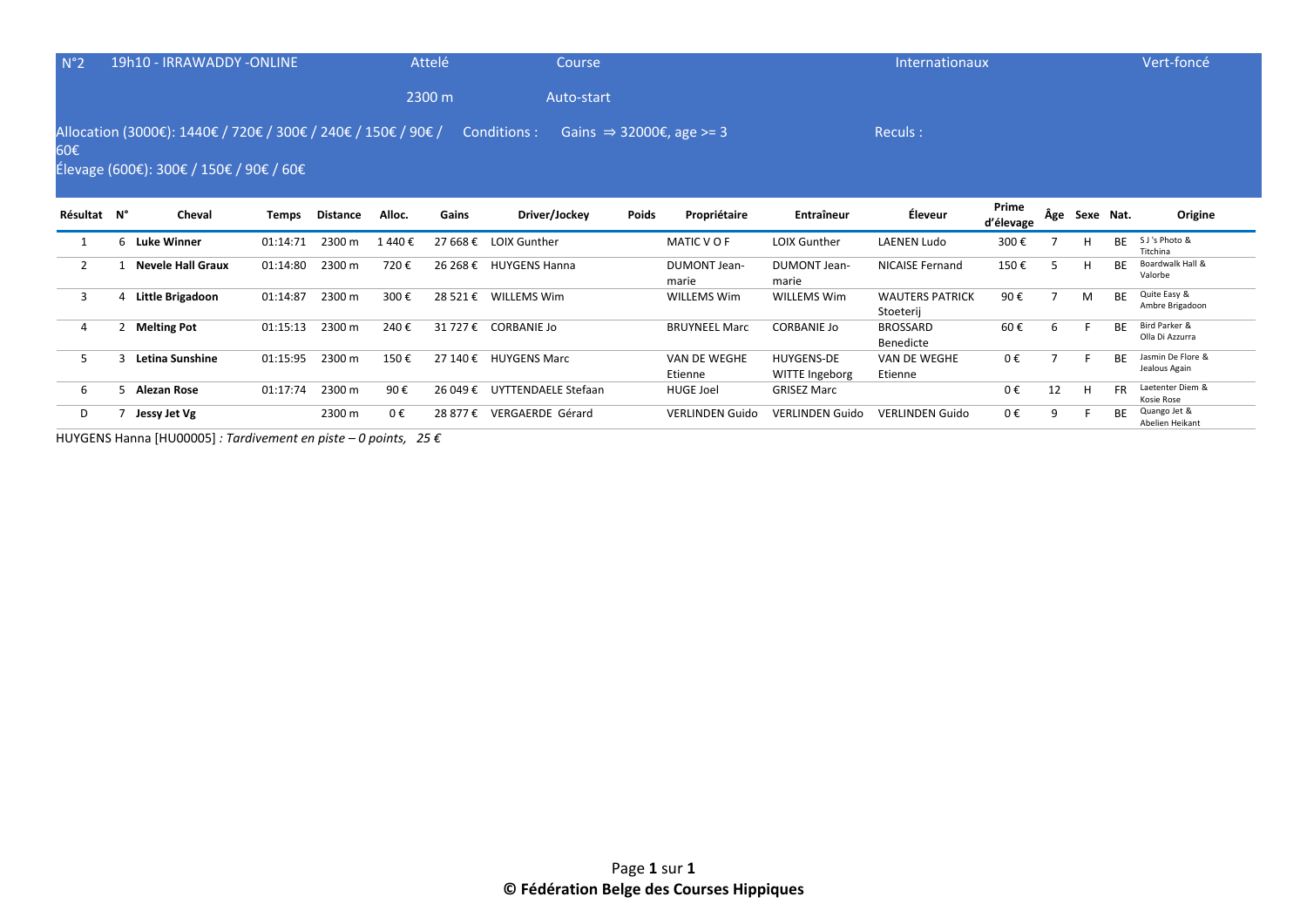| $N^{\circ}2$   |              | 19h10 - IRRAWADDY -ONLINE                                                                                |          |                 |        | Attelé   | Course                    |              |                                      |                                     | Internationaux                      |                    |     |           |           | Vert-foncé                         |
|----------------|--------------|----------------------------------------------------------------------------------------------------------|----------|-----------------|--------|----------|---------------------------|--------------|--------------------------------------|-------------------------------------|-------------------------------------|--------------------|-----|-----------|-----------|------------------------------------|
|                |              |                                                                                                          |          |                 |        | 2300 m   | Auto-start                |              |                                      |                                     |                                     |                    |     |           |           |                                    |
| 60€            |              | Allocation (3000€): 1440€ / 720€ / 300€ / 240€ / 150€ / 90€ /<br>Élevage (600€): 300€ / 150€ / 90€ / 60€ |          |                 |        |          | Conditions :              |              | Gains $\Rightarrow$ 32000€, age >= 3 |                                     | Reculs:                             |                    |     |           |           |                                    |
| Résultat N°    |              | Cheval                                                                                                   | Temps    | <b>Distance</b> | Alloc. | Gains    | Driver/Jockey             | <b>Poids</b> | Propriétaire                         | <b>Entraîneur</b>                   | Éleveur                             | Prime<br>d'élevage | Âge | Sexe Nat. |           | Origine                            |
|                |              | 6 Luke Winner                                                                                            | 01:14:71 | 2300 m          | 1440€  | 27 668 € | <b>LOIX Gunther</b>       |              | MATIC V O F                          | LOIX Gunther                        | <b>LAENEN Ludo</b>                  | 300€               |     | Н         | <b>BE</b> | S J's Photo &<br>Titchina          |
| $\overline{2}$ |              | <b>Nevele Hall Graux</b>                                                                                 | 01:14:80 | 2300 m          | 720€   |          | 26 268 € HUYGENS Hanna    |              | <b>DUMONT Jean-</b><br>marie         | <b>DUMONT Jean-</b><br>marie        | <b>NICAISE Fernand</b>              | 150€               | 5   | H         | <b>BE</b> | Boardwalk Hall &<br>Valorbe        |
| 3              | 4            | Little Brigadoon                                                                                         | 01:14:87 | 2300 m          | 300€   | 28 521 € | <b>WILLEMS Wim</b>        |              | <b>WILLEMS Wim</b>                   | <b>WILLEMS Wim</b>                  | <b>WAUTERS PATRICK</b><br>Stoeterij | 90€                |     | M         | <b>BE</b> | Quite Easy &<br>Ambre Brigadoon    |
| 4              | $\mathbf{2}$ | <b>Melting Pot</b>                                                                                       | 01:15:13 | 2300 m          | 240€   |          | 31 727 € CORBANIE Jo      |              | <b>BRUYNEEL Marc</b>                 | <b>CORBANIE Jo</b>                  | <b>BROSSARD</b><br>Benedicte        | 60€                | 6   |           | <b>BE</b> | Bird Parker &<br>Olla Di Azzurra   |
| 5.             | ς            | Letina Sunshine                                                                                          | 01:15:95 | 2300 m          | 150€   | 27 140 € | <b>HUYGENS Marc</b>       |              | VAN DE WEGHE<br>Etienne              | <b>HUYGENS-DE</b><br>WITTE Ingeborg | VAN DE WEGHE<br>Etienne             | 0€                 |     |           | <b>BE</b> | Jasmin De Flore &<br>Jealous Again |
| 6              |              | 5 Alezan Rose                                                                                            | 01:17:74 | 2300 m          | 90€    | 26 049 € | UYTTENDAELE Stefaan       |              | <b>HUGE Joel</b>                     | <b>GRISEZ Marc</b>                  |                                     | 0€                 | 12  | н         | <b>FR</b> | Laetenter Diem &<br>Kosie Rose     |
| D              |              | Jessy Jet Vg                                                                                             |          | 2300 m          | 0€     |          | 28 877 € VERGAERDE Gérard |              | <b>VERLINDEN Guido</b>               | <b>VERLINDEN Guido</b>              | <b>VERLINDEN Guido</b>              | 0€                 | 9   |           | <b>BE</b> | Quango Jet &                       |

Abelien Heikant

HUYGENS Hanna [HU00005] *: Tardivement en piste – 0 points, 25 €*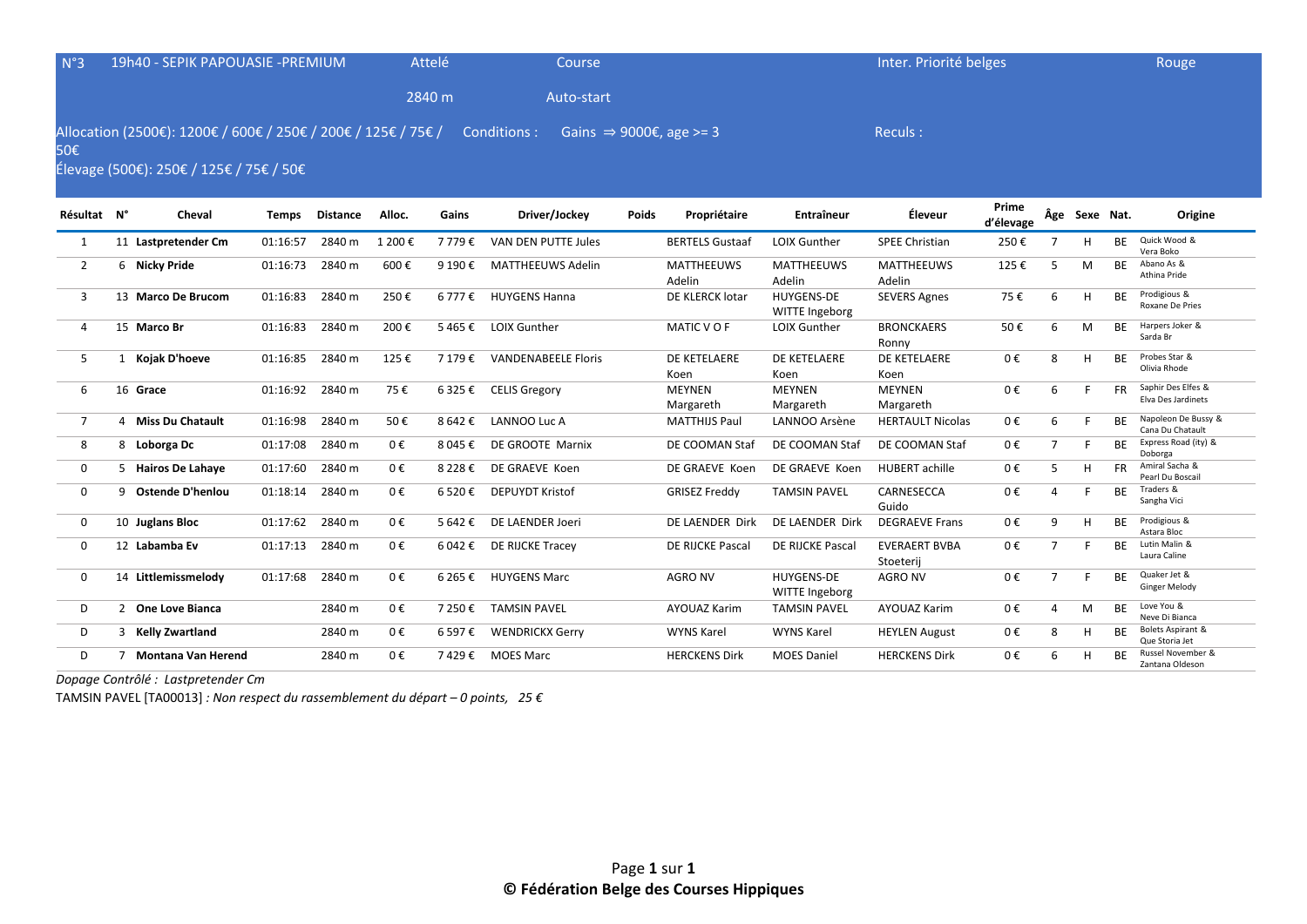| N°3            | 19h40 - SEPIK PAPOUASIE - PREMIUM                                                                        |              |                 |         | Attelé     | Course                     |       |                                     |                                     | Inter. Priorité belges            |                    |                |               |           | Rouge                                    |
|----------------|----------------------------------------------------------------------------------------------------------|--------------|-----------------|---------|------------|----------------------------|-------|-------------------------------------|-------------------------------------|-----------------------------------|--------------------|----------------|---------------|-----------|------------------------------------------|
|                |                                                                                                          |              |                 |         | 2840 m     | Auto-start                 |       |                                     |                                     |                                   |                    |                |               |           |                                          |
| 50€            | Allocation (2500€): 1200€ / 600€ / 250€ / 200€ / 125€ / 75€ /<br>Élevage (500€): 250€ / 125€ / 75€ / 50€ |              |                 |         |            | Conditions :               |       | Gains $\Rightarrow$ 9000€, age >= 3 |                                     | Reculs:                           |                    |                |               |           |                                          |
| Résultat N°    | Cheval                                                                                                   | <b>Temps</b> | <b>Distance</b> | Alloc.  | Gains      | Driver/Jockey              | Poids | Propriétaire                        | <b>Entraîneur</b>                   | Éleveur                           | Prime<br>d'élevage |                | Âge Sexe Nat. |           | Origine                                  |
| $\mathbf{1}$   | 11 Lastpretender Cm                                                                                      | 01:16:57     | 2840 m          | 1 200€  | 7 779€     | VAN DEN PUTTE Jules        |       | <b>BERTELS Gustaaf</b>              | <b>LOIX Gunther</b>                 | <b>SPEE Christian</b>             | 250€               | $\overline{7}$ | H             | <b>BE</b> | Quick Wood &<br>Vera Boko                |
| $\overline{2}$ | 6 Nicky Pride                                                                                            | 01:16:73     | 2840 m          | 600€    | 9 190€     | <b>MATTHEEUWS Adelin</b>   |       | <b>MATTHEEUWS</b><br>Adelin         | <b>MATTHEEUWS</b><br>Adelin         | <b>MATTHEEUWS</b><br>Adelin       | 125€               | 5              | M             | <b>BE</b> | Abano As &<br>Athina Pride               |
| 3              | 13 Marco De Brucom                                                                                       | 01:16:83     | 2840 m          | 250€    | $6777 \in$ | <b>HUYGENS Hanna</b>       |       | DE KLERCK lotar                     | <b>HUYGENS-DE</b><br>WITTE Ingeborg | <b>SEVERS Agnes</b>               | 75€                | 6              | H             | <b>BE</b> | Prodigious &<br>Roxane De Pries          |
| 4              | 15 Marco Br                                                                                              | 01:16:83     | 2840 m          | 200€    | 5465€      | <b>LOIX Gunther</b>        |       | MATIC VOF                           | <b>LOIX Gunther</b>                 | <b>BRONCKAERS</b><br>Ronny        | 50€                | 6              | M             | <b>BE</b> | Harpers Joker &<br>Sarda Br              |
| 5              | 1 Kojak D'hoeve                                                                                          | 01:16:85     | 2840 m          | 125€    | 7 179€     | <b>VANDENABEELE Floris</b> |       | DE KETELAERE<br>Koen                | DE KETELAERE<br>Koen                | DE KETELAERE<br>Koen              | 0€                 | 8              | H             | <b>BE</b> | Probes Star &<br>Olivia Rhode            |
| 6              | 16 Grace                                                                                                 | 01:16:92     | 2840 m          | 75€     | 6 325 €    | <b>CELIS Gregory</b>       |       | <b>MEYNEN</b><br>Margareth          | <b>MEYNEN</b><br>Margareth          | <b>MEYNEN</b><br>Margareth        | 0€                 | 6              | F             | <b>FR</b> | Saphir Des Elfes &<br>Elva Des Jardinets |
| $\overline{7}$ | 4 Miss Du Chatault                                                                                       | 01:16:98     | 2840 m          | 50€     | 8 642 €    | LANNOO Luc A               |       | <b>MATTHIJS Paul</b>                | LANNOO Arsène                       | <b>HERTAULT Nicolas</b>           | 0€                 | 6              | F             | <b>BE</b> | Napoleon De Bussy &<br>Cana Du Chatault  |
| 8              | 8 Loborga Dc                                                                                             | 01:17:08     | 2840 m          | 0€      | 8 045 €    | DE GROOTE Marnix           |       | DE COOMAN Staf                      | DE COOMAN Staf                      | DE COOMAN Staf                    | 0€                 | $\overline{7}$ | F             | <b>BE</b> | Express Road (ity) &<br>Doborga          |
| $\mathbf 0$    | 5 Hairos De Lahaye                                                                                       | 01:17:60     | 2840 m          | 0€      | 8 228 €    | DE GRAEVE Koen             |       | DE GRAEVE Koen                      | DE GRAEVE Koen                      | <b>HUBERT</b> achille             | 0€                 | 5              | н             | <b>FR</b> | Amiral Sacha &<br>Pearl Du Boscail       |
| $\mathbf 0$    | 9 Ostende D'henlou                                                                                       | 01:18:14     | 2840 m          | 0€      | 6 520 €    | <b>DEPUYDT Kristof</b>     |       | <b>GRISEZ Freddy</b>                | <b>TAMSIN PAVEL</b>                 | CARNESECCA<br>Guido               | 0€                 | 4              | F.            | <b>BE</b> | Traders &<br>Sangha Vici                 |
| 0              | 10 Juglans Bloc                                                                                          | 01:17:62     | 2840 m          | 0€      | 5 642 €    | DE LAENDER Joeri           |       | DE LAENDER Dirk                     | DE LAENDER Dirk                     | <b>DEGRAEVE Frans</b>             | 0€                 | 9              | H             | <b>BF</b> | Prodigious &<br>Astara Bloc              |
| $\Omega$       | 12 Labamba Ev                                                                                            | 01:17:13     | 2840 m          | $0 \in$ | 6 042 €    | DE RIJCKE Tracey           |       | DE RIJCKE Pascal                    | DE RIJCKE Pascal                    | <b>EVERAERT BVBA</b><br>Stoeterij | 0€                 | $\overline{7}$ | F             | <b>BE</b> | Lutin Malin &<br>Laura Caline            |
| $\mathbf 0$    | 14 Littlemissmelody                                                                                      | 01:17:68     | 2840 m          | 0€      | 6 265 €    | <b>HUYGENS Marc</b>        |       | <b>AGRO NV</b>                      | <b>HUYGENS-DE</b><br>WITTE Ingeborg | <b>AGRO NV</b>                    | 0€                 | $\overline{7}$ | F.            | <b>BE</b> | Quaker Jet &<br><b>Ginger Melody</b>     |
| D              | 2 One Love Bianca                                                                                        |              | 2840 m          | 0€      | 7 250 €    | <b>TAMSIN PAVEL</b>        |       | <b>AYOUAZ Karim</b>                 | <b>TAMSIN PAVEL</b>                 | <b>AYOUAZ Karim</b>               | 0€                 | 4              | M             | <b>BE</b> | Love You &<br>Neve Di Bianca             |
| D              | 3 Kelly Zwartland                                                                                        |              | 2840 m          | 0€      | 6 597 €    | <b>WENDRICKX Gerry</b>     |       | <b>WYNS Karel</b>                   | <b>WYNS Karel</b>                   | <b>HEYLEN August</b>              | 0€                 | 8              | H             | <b>BE</b> | Bolets Aspirant &<br>Que Storia Jet      |
| D              | 7 Montana Van Herend                                                                                     |              | 2840 m          | 0€      |            | 7429€ MOES Marc            |       | <b>HERCKENS Dirk</b>                | <b>MOES Daniel</b>                  | <b>HERCKENS Dirk</b>              | 0€                 | 6              | H             | <b>BF</b> | Russel November &<br>Zantana Oldeson     |

*Dopage Contrôlé : Lastpretender Cm* 

TAMSIN PAVEL [TA00013] *: Non respect du rassemblement du départ – 0 points, 25 €*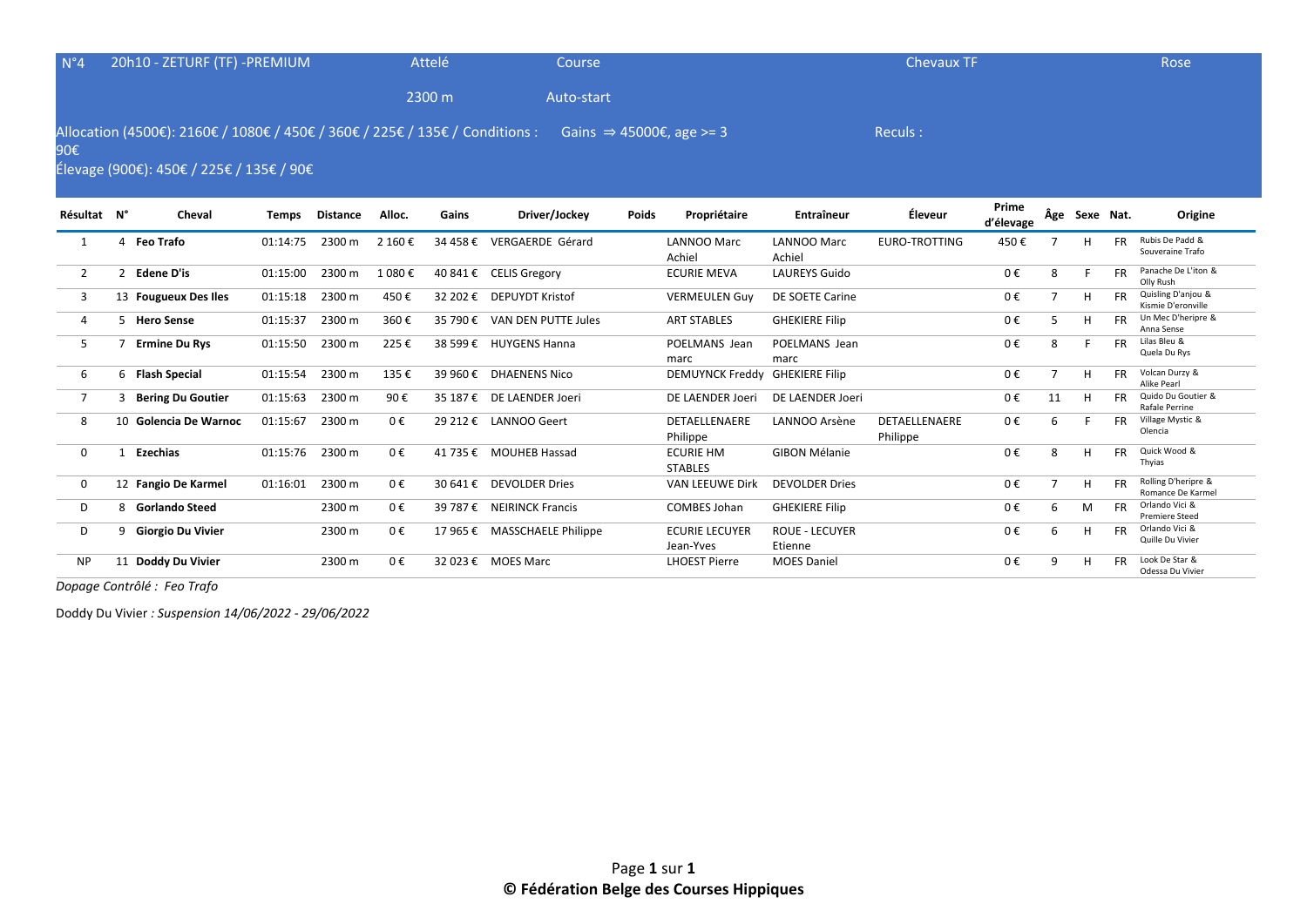| $N^{\circ}4$   | 20h10 - ZETURF (TF) -PREMIUM             |              |                 |         | Attelé   | Course                                                                                                            |              |                                    |                                  | <b>Chevaux TF</b>         |                    |                |               |           | <b>Rose</b>                              |
|----------------|------------------------------------------|--------------|-----------------|---------|----------|-------------------------------------------------------------------------------------------------------------------|--------------|------------------------------------|----------------------------------|---------------------------|--------------------|----------------|---------------|-----------|------------------------------------------|
|                |                                          |              |                 |         | 2300 m   | Auto-start                                                                                                        |              |                                    |                                  |                           |                    |                |               |           |                                          |
| 90€            | Élevage (900€): 450€ / 225€ / 135€ / 90€ |              |                 |         |          | Allocation (4500€): 2160€ / 1080€ / 450€ / 360€ / 225€ / 135€ / Conditions : Gains $\Rightarrow$ 45000€, age >= 3 |              |                                    |                                  | Reculs:                   |                    |                |               |           |                                          |
| Résultat N°    | Cheval                                   | <b>Temps</b> | <b>Distance</b> | Alloc.  | Gains    | Driver/Jockey                                                                                                     | <b>Poids</b> | Propriétaire                       | Entraîneur                       | Éleveur                   | Prime<br>d'élevage |                | Âge Sexe Nat. |           | Origine                                  |
|                | 4 Feo Trafo                              | 01:14:75     | 2300 m          | 2 160 € |          | 34 458 € VERGAERDE Gérard                                                                                         |              | <b>LANNOO Marc</b><br>Achiel       | <b>LANNOO Marc</b><br>Achiel     | <b>EURO-TROTTING</b>      | 450€               |                | H             | <b>FR</b> | Rubis De Padd &<br>Souveraine Trafo      |
| $\overline{2}$ | 2 Edene D'is                             | 01:15:00     | 2300 m          | 1 080€  |          | 40 841 € CELIS Gregory                                                                                            |              | <b>ECURIE MEVA</b>                 | <b>LAUREYS Guido</b>             |                           | 0€                 | 8              |               | <b>FR</b> | Panache De L'iton &<br>Olly Rush         |
| 3              | 13 Fougueux Des Iles                     | 01:15:18     | 2300 m          | 450€    |          | 32 202 € DEPUYDT Kristof                                                                                          |              | <b>VERMEULEN Guy</b>               | DE SOETE Carine                  |                           | 0€                 | $\overline{7}$ | H             | <b>FR</b> | Quisling D'anjou &<br>Kismie D'eronville |
| $\overline{4}$ | 5 Hero Sense                             | 01:15:37     | 2300 m          | 360€    | 35 790 € | VAN DEN PUTTE Jules                                                                                               |              | <b>ART STABLES</b>                 | <b>GHEKIERE Filip</b>            |                           | $0 \in$            | 5              | H             | <b>FR</b> | Un Mec D'heripre &<br>Anna Sense         |
| 5              | <b>Ermine Du Rys</b>                     | 01:15:50     | 2300 m          | 225€    |          | 38 599 € HUYGENS Hanna                                                                                            |              | POELMANS Jean<br>marc              | POELMANS Jean<br>marc            |                           | 0€                 | 8              |               | <b>FR</b> | Lilas Bleu &<br>Quela Du Rys             |
| 6              | 6 Flash Special                          | 01:15:54     | 2300 m          | 135€    |          | 39 960 € DHAENENS Nico                                                                                            |              | <b>DEMUYNCK Freddy</b>             | <b>GHEKIERE Filip</b>            |                           | 0€                 | $\overline{7}$ | H             | <b>FR</b> | Volcan Durzy &<br>Alike Pearl            |
| 7              | 3 Bering Du Goutier                      | 01:15:63     | 2300 m          | 90€     |          | 35 187 € DE LAENDER Joeri                                                                                         |              | DE LAENDER Joeri                   | DE LAENDER Joeri                 |                           | 0€                 | 11             | H             | FR.       | Quido Du Goutier &<br>Rafale Perrine     |
| 8              | 10 Golencia De Warnoc                    | 01:15:67     | 2300 m          | 0€      |          | 29 212 € LANNOO Geert                                                                                             |              | DETAELLENAERE<br>Philippe          | LANNOO Arsène                    | DETAELLENAERE<br>Philippe | $0 \in$            | 6              |               | <b>FR</b> | Village Mystic &<br>Olencia              |
| $\mathbf{0}$   | 1 Ezechias                               | 01:15:76     | 2300 m          | 0€      |          | 41 735 € MOUHEB Hassad                                                                                            |              | <b>ECURIE HM</b><br><b>STABLES</b> | <b>GIBON Mélanie</b>             |                           | 0€                 | 8              | H             | <b>FR</b> | Quick Wood &<br>Thyias                   |
| $\Omega$       | 12 Fangio De Karmel                      | 01:16:01     | 2300 m          | $0 \in$ |          | 30 641 € DEVOLDER Dries                                                                                           |              | VAN LEEUWE Dirk                    | <b>DEVOLDER Dries</b>            |                           | 0€                 | $\overline{7}$ | H             | <b>FR</b> | Rolling D'heripre &<br>Romance De Karmel |
| D              | 8 Gorlando Steed                         |              | 2300 m          | 0€      |          | 39 787 € NEIRINCK Francis                                                                                         |              | <b>COMBES Johan</b>                | <b>GHEKIERE Filip</b>            |                           | 0€                 | $\mathsf{6}$   | M             | FR.       | Orlando Vici &<br><b>Premiere Steed</b>  |
| D              | 9 Giorgio Du Vivier                      |              | 2300 m          | 0€      |          | 17 965 € MASSCHAELE Philippe                                                                                      |              | <b>ECURIE LECUYER</b><br>Jean-Yves | <b>ROUE - LECUYER</b><br>Etienne |                           | 0€                 | 6              | H             | <b>FR</b> | Orlando Vici &<br>Quille Du Vivier       |
| <b>NP</b>      | 11 Doddy Du Vivier                       |              | 2300 m          | 0€      |          | 32 023 € MOES Marc                                                                                                |              | <b>LHOEST Pierre</b>               | <b>MOES Daniel</b>               |                           | 0€                 | q              | H             | <b>FR</b> | Look De Star &<br>Odessa Du Vivier       |

*Dopage Contrôlé : Feo Trafo* 

Doddy Du Vivier *: Suspension 14/06/2022 - 29/06/2022*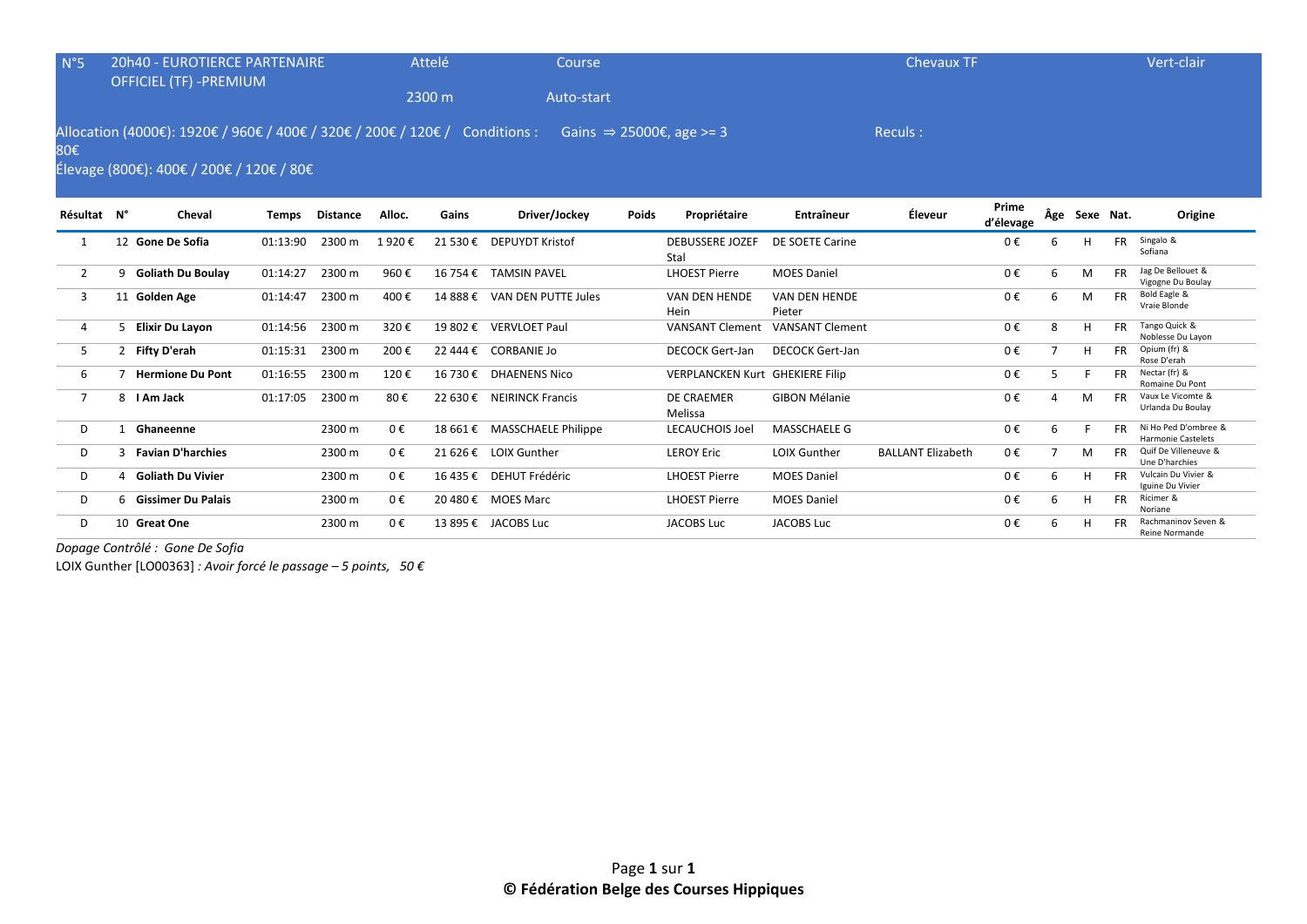| $N^{\circ}5$   |   | <b>20h40 - EUROTIERCE PARTENAIRE</b>                                                                                    |              |                 |         | Attelé   | Course                       |              |                                      |                         | <b>Chevaux TF</b>        |                    |                |               |           | Vert-clair                                        |
|----------------|---|-------------------------------------------------------------------------------------------------------------------------|--------------|-----------------|---------|----------|------------------------------|--------------|--------------------------------------|-------------------------|--------------------------|--------------------|----------------|---------------|-----------|---------------------------------------------------|
|                |   | <b>OFFICIEL (TF) -PREMIUM</b>                                                                                           |              |                 |         | 2300 m   | Auto-start                   |              |                                      |                         |                          |                    |                |               |           |                                                   |
| 80€            |   | Allocation (4000€): 1920€ / 960€ / 400€ / 320€ / 200€ / 120€ / Conditions :<br>Élevage (800€): 400€ / 200€ / 120€ / 80€ |              |                 |         |          |                              |              | Gains $\Rightarrow$ 25000€, age >= 3 |                         | Reculs:                  |                    |                |               |           |                                                   |
| Résultat N°    |   | Cheval                                                                                                                  | <b>Temps</b> | <b>Distance</b> | Alloc.  | Gains    | Driver/Jockey                | <b>Poids</b> | Propriétaire                         | Entraîneur              | Éleveur                  | Prime<br>d'élevage |                | Âge Sexe Nat. |           | Origine                                           |
|                |   | 12 Gone De Sofia                                                                                                        | 01:13:90     | 2300 m          | 1920€   |          | 21 530 € DEPUYDT Kristof     |              | <b>DEBUSSERE JOZEF</b><br>Stal       | DE SOETE Carine         |                          | 0€                 | 6              | н             | <b>FR</b> | Singalo &<br>Sofiana                              |
| $2^{\circ}$    |   | 9 Goliath Du Boulay                                                                                                     | 01:14:27     | 2300 m          | 960€    |          | 16 754 € TAMSIN PAVEL        |              | <b>LHOEST Pierre</b>                 | <b>MOES Daniel</b>      |                          | 0€                 | 6              | M             | <b>FR</b> | Jag De Bellouet &<br>Vigogne Du Boulay            |
| 3              |   | 11 Golden Age                                                                                                           | 01:14:47     | 2300 m          | 400€    |          | 14 888 € VAN DEN PUTTE Jules |              | VAN DEN HENDE<br>Hein                | VAN DEN HENDE<br>Pieter |                          | 0€                 | 6              | M             | <b>FR</b> | Bold Eagle &<br>Vraie Blonde                      |
| 4              |   | 5 Elixir Du Layon                                                                                                       | 01:14:56     | 2300 m          | 320€    | 19 802 € | <b>VERVLOET Paul</b>         |              | <b>VANSANT Clement</b>               | <b>VANSANT Clement</b>  |                          | 0€                 | 8              | H             | <b>FR</b> | Tango Quick &<br>Noblesse Du Layon                |
| 5              |   | 2 Fifty D'erah                                                                                                          | 01:15:31     | 2300 m          | 200€    |          | 22 444 € CORBANIE Jo         |              | <b>DECOCK Gert-Jan</b>               | <b>DECOCK Gert-Jan</b>  |                          | 0€                 | $\overline{7}$ | H             | <b>FR</b> | Opium (fr) &<br>Rose D'erah                       |
| 6              |   | <b>Hermione Du Pont</b>                                                                                                 | 01:16:55     | 2300 m          | 120€    |          | 16 730 € DHAENENS Nico       |              | VERPLANCKEN Kurt GHEKIERE Filip      |                         |                          | 0€                 | 5              |               | FR.       | Nectar (fr) &<br>Romaine Du Pont                  |
| $\overline{7}$ |   | 8   Am Jack                                                                                                             | 01:17:05     | 2300 m          | 80€     |          | 22 630 € NEIRINCK Francis    |              | <b>DE CRAEMER</b><br>Melissa         | <b>GIBON Mélanie</b>    |                          | 0€                 | 4              | M             | FR.       | Vaux Le Vicomte &<br>Urlanda Du Boulay            |
| D              | 1 | Ghaneenne                                                                                                               |              | 2300 m          | 0€      |          | 18 661 € MASSCHAELE Philippe |              | <b>LECAUCHOIS Joel</b>               | <b>MASSCHAELE G</b>     |                          | 0€                 | 6              |               | <b>FR</b> | Ni Ho Ped D'ombree &<br><b>Harmonie Castelets</b> |
| D              | ٩ | <b>Favian D'harchies</b>                                                                                                |              | 2300 m          | 0€      |          | 21 626 € LOIX Gunther        |              | <b>LEROY Eric</b>                    | <b>LOIX Gunther</b>     | <b>BALLANT Elizabeth</b> | 0€                 | $\overline{7}$ | M             | FR.       | Quif De Villeneuve &<br>Une D'harchies            |
| D              |   | 4 Goliath Du Vivier                                                                                                     |              | 2300 m          | 0€      |          | 16 435 € DEHUT Frédéric      |              | <b>LHOEST Pierre</b>                 | <b>MOES Daniel</b>      |                          | 0€                 | 6              | H             | FR.       | Vulcain Du Vivier &<br>Iguine Du Vivier           |
| D              |   | 6 Gissimer Du Palais                                                                                                    |              | 2300 m          | $0 \in$ |          | 20 480 € MOES Marc           |              | <b>LHOEST Pierre</b>                 | <b>MOES Daniel</b>      |                          | 0€                 | 6              | н             | <b>FR</b> | Ricimer &<br>Noriane                              |
| D              |   | 10 Great One                                                                                                            |              | 2300 m          | 0€      |          | 13 895 € JACOBS Luc          |              | <b>JACOBS Luc</b>                    | <b>JACOBS Luc</b>       |                          | 0€                 | 6              | н             |           | Rachmaninov Seven &<br>Reine Normande             |

*Dopage Contrôlé : Gone De Sofia* 

LOIX Gunther [LO00363] *: Avoir forcé le passage – 5 points, 50 €*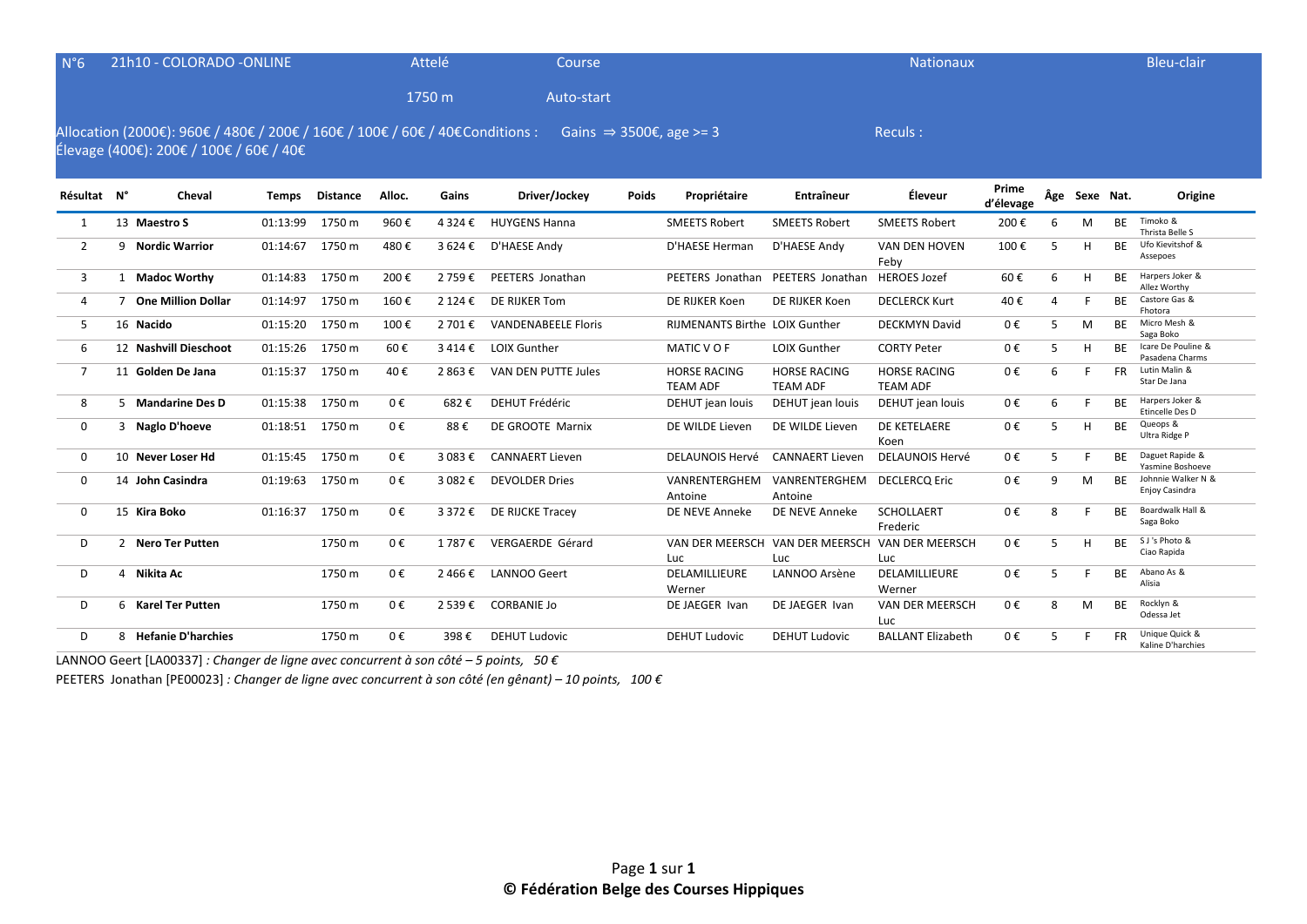| $N^{\circ}6$   |   | 21h10 - COLORADO - ONLINE                                                                                                |              |                 |         | Attelé    | Course                              |       |                                        |                                                        | <b>Nationaux</b>                       |                    |   |               |           | <b>Bleu-clair</b>                     |
|----------------|---|--------------------------------------------------------------------------------------------------------------------------|--------------|-----------------|---------|-----------|-------------------------------------|-------|----------------------------------------|--------------------------------------------------------|----------------------------------------|--------------------|---|---------------|-----------|---------------------------------------|
|                |   |                                                                                                                          |              |                 |         | 1750 m    | Auto-start                          |       |                                        |                                                        |                                        |                    |   |               |           |                                       |
|                |   | Allocation (2000€): 960€ / 480€ / 200€ / 160€ / 100€ / 60€ / 40€ Conditions :<br>Élevage (400€): 200€ / 100€ / 60€ / 40€ |              |                 |         |           | Gains $\Rightarrow$ 3500€, age >= 3 |       |                                        |                                                        | Reculs:                                |                    |   |               |           |                                       |
| Résultat N°    |   | Cheval                                                                                                                   | <b>Temps</b> | <b>Distance</b> | Alloc.  | Gains     | Driver/Jockey                       | Poids | Propriétaire                           | <b>Entraîneur</b>                                      | Éleveur                                | Prime<br>d'élevage |   | Âge Sexe Nat. |           | Origine                               |
| 1              |   | 13 Maestro S                                                                                                             | 01:13:99     | 1750 m          | 960€    | 4 3 2 4 € | <b>HUYGENS Hanna</b>                |       | <b>SMEETS Robert</b>                   | <b>SMEETS Robert</b>                                   | <b>SMEETS Robert</b>                   | 200€               | 6 | M             | <b>BE</b> | Timoko &<br>Thrista Belle S           |
| $\overline{2}$ | 9 | <b>Nordic Warrior</b>                                                                                                    | 01:14:67     | 1750 m          | 480€    | 3 624 €   | D'HAESE Andy                        |       | D'HAESE Herman                         | D'HAESE Andy                                           | VAN DEN HOVEN<br>Feby                  | 100€               | 5 | Н             | <b>BE</b> | Ufo Kievitshof &<br>Assepoes          |
| 3              |   | 1 Madoc Worthy                                                                                                           | 01:14:83     | 1750 m          | 200€    | 2 759€    | PEETERS Jonathan                    |       | PEETERS Jonathan                       | PEETERS Jonathan                                       | <b>HEROES Jozef</b>                    | 60€                | 6 | H             | BF.       | Harpers Joker &<br>Allez Worthy       |
| 4              | 7 | <b>One Million Dollar</b>                                                                                                | 01:14:97     | 1750 m          | 160€    | 2 124 €   | DE RIJKER Tom                       |       | DE RIJKER Koen                         | DE RIJKER Koen                                         | <b>DECLERCK Kurt</b>                   | 40€                | 4 |               | ВE        | Castore Gas &<br>Fhotora              |
| 5              |   | 16 Nacido                                                                                                                | 01:15:20     | 1750 m          | 100€    | 2 701 €   | <b>VANDENABEELE Floris</b>          |       | <b>RIJMENANTS Birthe LOIX Gunther</b>  |                                                        | <b>DECKMYN David</b>                   | 0€                 | 5 | M             | BE        | Micro Mesh &<br>Saga Boko             |
| 6              |   | 12 Nashvill Dieschoot                                                                                                    | 01:15:26     | 1750 m          | 60€     | 3414€     | <b>LOIX Gunther</b>                 |       | MATIC V O F                            | <b>LOIX Gunther</b>                                    | <b>CORTY Peter</b>                     | 0€                 | 5 | H             | <b>BF</b> | Icare De Pouline &<br>Pasadena Charms |
| $\overline{7}$ |   | 11 Golden De Jana                                                                                                        | 01:15:37     | 1750 m          | 40€     | 2 863 €   | VAN DEN PUTTE Jules                 |       | <b>HORSE RACING</b><br><b>TEAM ADF</b> | <b>HORSE RACING</b><br><b>TEAM ADF</b>                 | <b>HORSE RACING</b><br><b>TEAM ADF</b> | 0€                 | 6 | F.            | <b>FR</b> | Lutin Malin &<br>Star De Jana         |
| 8              |   | 5 Mandarine Des D                                                                                                        | 01:15:38     | 1750 m          | 0€      | 682€      | <b>DEHUT Frédéric</b>               |       | DEHUT jean louis                       | DEHUT jean louis                                       | DEHUT jean louis                       | 0€                 | 6 | F             | <b>BF</b> | Harpers Joker &<br>Etincelle Des D    |
| 0              |   | 3 Naglo D'hoeve                                                                                                          | 01:18:51     | 1750 m          | 0€      | 88€       | DE GROOTE Marnix                    |       | DE WILDE Lieven                        | DE WILDE Lieven                                        | DE KETELAERE<br>Koen                   | 0€                 | 5 | H             | <b>BE</b> | Queops &<br>Ultra Ridge P             |
| 0              |   | 10 Never Loser Hd                                                                                                        | 01:15:45     | 1750 m          | 0€      | 3 083 €   | <b>CANNAERT Lieven</b>              |       | <b>DELAUNOIS Hervé</b>                 | <b>CANNAERT Lieven</b>                                 | <b>DELAUNOIS Hervé</b>                 | 0€                 | 5 | F             | <b>BF</b> | Daguet Rapide &<br>Yasmine Boshoeve   |
| $\mathbf 0$    |   | 14 John Casindra                                                                                                         | 01:19:63     | 1750 m          | $0 \in$ | 3 082 €   | <b>DEVOLDER Dries</b>               |       | VANRENTERGHEM<br>Antoine               | VANRENTERGHEM DECLERCQ Eric<br>Antoine                 |                                        | 0€                 | 9 | M             | <b>BE</b> | Johnnie Walker N &<br>Enjoy Casindra  |
| $\Omega$       |   | 15 Kira Boko                                                                                                             | 01:16:37     | 1750 m          | $0 \in$ | 3 372 €   | DE RIJCKE Tracey                    |       | DE NEVE Anneke                         | DE NEVE Anneke                                         | <b>SCHOLLAERT</b><br>Frederic          | 0€                 | 8 | F.            | <b>BE</b> | Boardwalk Hall &<br>Saga Boko         |
| D              |   | 2 Nero Ter Putten                                                                                                        |              | 1750 m          | 0€      | 1 787 €   | VERGAERDE Gérard                    |       | Luc                                    | VAN DER MEERSCH VAN DER MEERSCH VAN DER MEERSCH<br>Luc | <b>Luc</b>                             | 0€                 | 5 | H             | BE        | S J's Photo &<br>Ciao Rapida          |
| D              |   | 4 Nikita Ac                                                                                                              |              | 1750 m          | $0 \in$ | 2466€     | <b>LANNOO Geert</b>                 |       | DELAMILLIEURE<br>Werner                | LANNOO Arsène                                          | DELAMILLIEURE<br>Werner                | 0€                 | 5 | F             | BE        | Abano As &<br>Alisia                  |
| D              |   | 6 Karel Ter Putten                                                                                                       |              | 1750 m          | $0 \in$ | 2 539€    | <b>CORBANIE Jo</b>                  |       | DE JAEGER Ivan                         | DE JAEGER Ivan                                         | VAN DER MEERSCH<br>Luc                 | $0 \in$            | 8 | M             | <b>BE</b> | Rocklyn &<br>Odessa Jet               |

LANNOO Geert [LA00337] *: Changer de ligne avec concurrent à son côté – 5 points, 50 €*

PEETERS Jonathan [PE00023] *: Changer de ligne avec concurrent à son côté (en gênant) – 10 points, 100 €*

D 8 **Hefanie D'harchies** 1750 m 0 € 398 € DEHUT Ludovic DEHUT Ludovic DEHUT Ludovic BALLANT Elizabeth 0 € 5 F FR Unique Quick &

FR Unique Quick &<br>Kaline D'harchies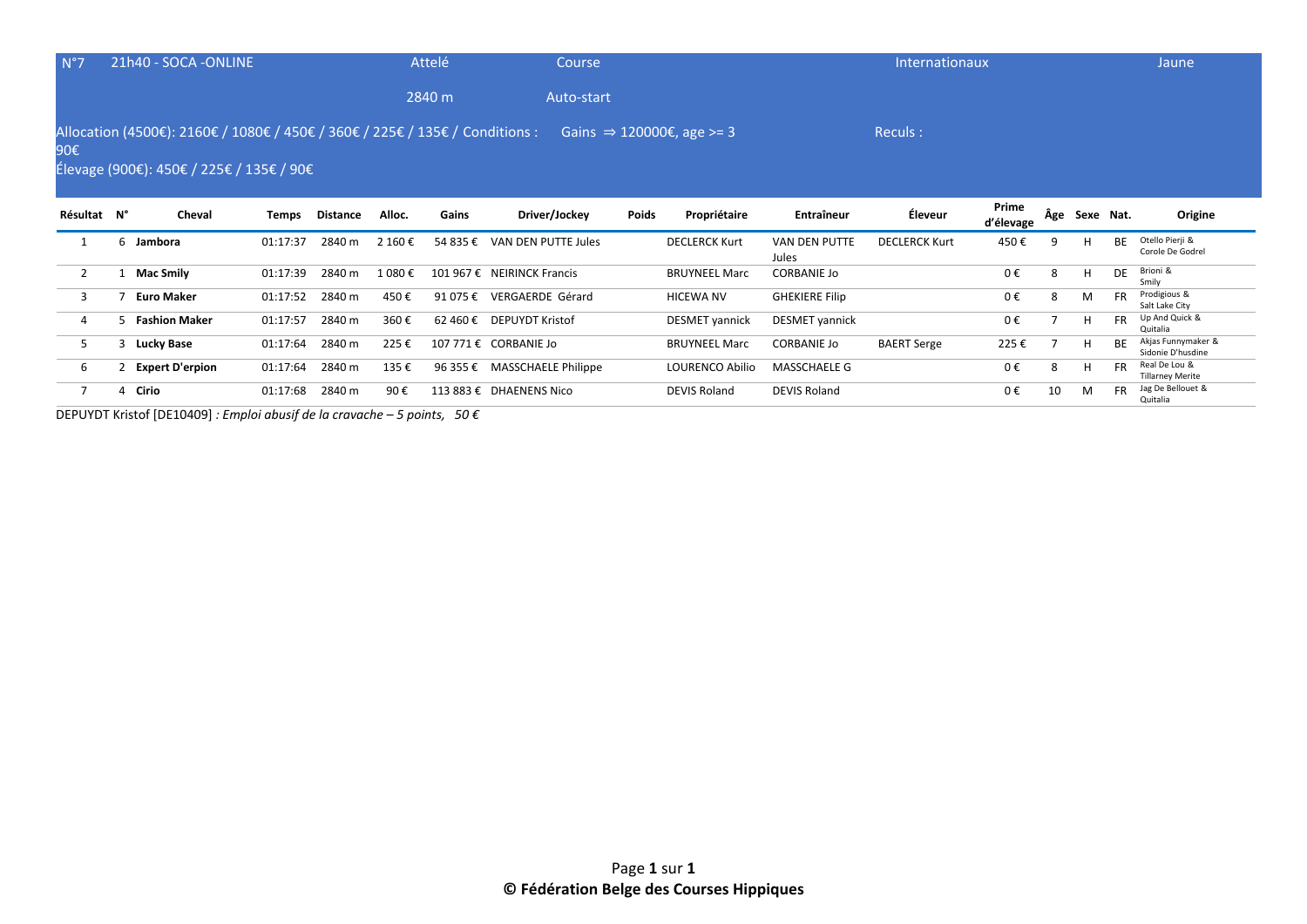| N°7         |   | 21h40 - SOCA - ONLINE                                                                                                    |          |          |         | Attelé   | Course                     |       |                                       |                               | Internationaux       |                    |     |           |           | Jaune                                   |
|-------------|---|--------------------------------------------------------------------------------------------------------------------------|----------|----------|---------|----------|----------------------------|-------|---------------------------------------|-------------------------------|----------------------|--------------------|-----|-----------|-----------|-----------------------------------------|
|             |   |                                                                                                                          |          |          |         | 2840 m   | Auto-start                 |       |                                       |                               |                      |                    |     |           |           |                                         |
| 90€         |   | Allocation (4500€): 2160€ / 1080€ / 450€ / 360€ / 225€ / 135€ / Conditions :<br>Élevage (900€): 450€ / 225€ / 135€ / 90€ |          |          |         |          |                            |       | Gains $\Rightarrow$ 120000€, age >= 3 |                               | Reculs:              |                    |     |           |           |                                         |
| Résultat N° |   | Cheval                                                                                                                   | Temps    | Distance | Alloc.  | Gains    | Driver/Jockey              | Poids | Propriétaire                          | Entraîneur                    | Éleveur              | Prime<br>d'élevage | Âge | Sexe Nat. |           | Origine                                 |
|             | 6 | Jambora                                                                                                                  | 01:17:37 |          |         |          |                            |       |                                       |                               |                      |                    |     |           |           | Otello Pierji &                         |
|             |   |                                                                                                                          |          | 2840 m   | 2 160 € | 54 835 € | VAN DEN PUTTE Jules        |       | <b>DECLERCK Kurt</b>                  | <b>VAN DEN PUTTE</b><br>Jules | <b>DECLERCK Kurt</b> | 450€               | 9   |           | <b>BE</b> | Corole De Godrel                        |
| 2           |   | <b>Mac Smily</b>                                                                                                         | 01:17:39 | 2840 m   | 1 080 € |          | 101 967 € NEIRINCK Francis |       | <b>BRUYNEEL Marc</b>                  | <b>CORBANIE Jo</b>            |                      | 0€                 | 8   | H         | DE        | Brioni &<br>Smily                       |
| 3           |   | <b>Euro Maker</b>                                                                                                        | 01:17:52 | 2840 m   | 450€    | 91 075 € | VERGAERDE Gérard           |       | <b>HICEWA NV</b>                      | <b>GHEKIERE Filip</b>         |                      | 0€                 | 8   | M         | <b>FR</b> | Prodigious &<br>Salt Lake City          |
| 4           |   | <b>Fashion Maker</b>                                                                                                     | 01:17:57 | 2840 m   | 360€    | 62 460 € | <b>DEPUYDT Kristof</b>     |       | <b>DESMET</b> vannick                 | <b>DESMET</b> vannick         |                      | $0 \in$            |     | H         | <b>FR</b> | Up And Quick &<br>Quitalia              |
| 5           | 3 | Lucky Base                                                                                                               | 01:17:64 | 2840 m   | 225€    |          | 107 771 € CORBANIE Jo      |       | <b>BRUYNEEL Marc</b>                  | <b>CORBANIE Jo</b>            | <b>BAERT Serge</b>   | 225€               |     | H         | <b>BE</b> | Akjas Funnymaker &<br>Sidonie D'husdine |

7 4 **Cirio** 01:17:68 2840 m 90 € 113 883 € DHAENENS Nico DEVIS Roland DEVIS Roland 0 € 10 M

Tillarney Merite<br>FR Jag De Bellouet &

Quitalia

DEPUYDT Kristof [DE10409] *: Emploi abusif de la cravache – 5 points, 50 €*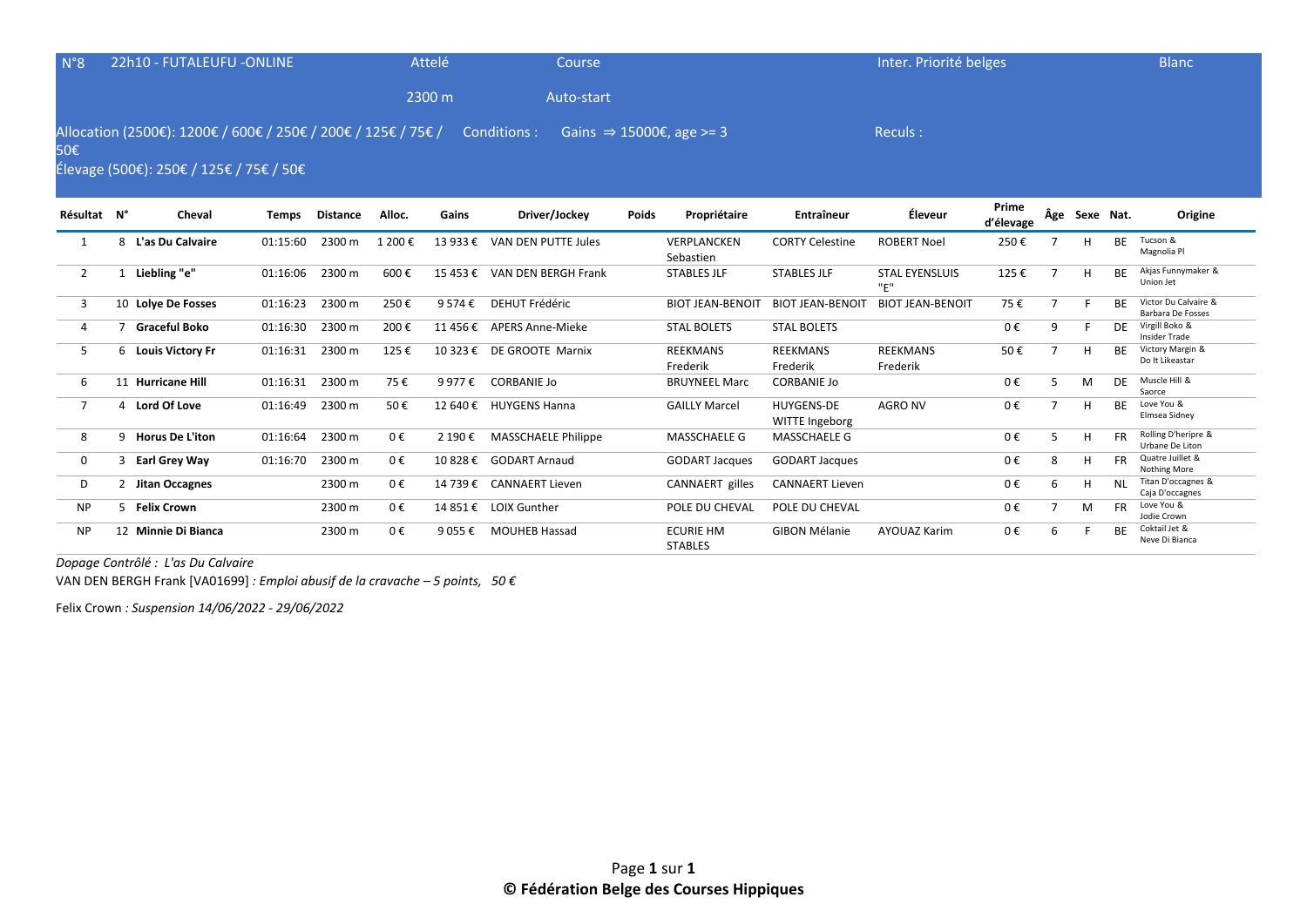| N°8            | 22h10 - FUTALEUFU -ONLINE                                                                                |              |                 |         | Attelé   | Course                       |       |                                      |                                     | Inter. Priorité belges       |                    |   |               |           | <b>Blanc</b>                                     |
|----------------|----------------------------------------------------------------------------------------------------------|--------------|-----------------|---------|----------|------------------------------|-------|--------------------------------------|-------------------------------------|------------------------------|--------------------|---|---------------|-----------|--------------------------------------------------|
|                |                                                                                                          |              |                 |         | 2300 m   | Auto-start                   |       |                                      |                                     |                              |                    |   |               |           |                                                  |
| 50€            | Allocation (2500€): 1200€ / 600€ / 250€ / 200€ / 125€ / 75€ /<br>Élevage (500€): 250€ / 125€ / 75€ / 50€ |              |                 |         |          | Conditions :                 |       | Gains $\Rightarrow$ 15000€, age >= 3 |                                     | Reculs:                      |                    |   |               |           |                                                  |
| Résultat N°    | Cheval                                                                                                   | <b>Temps</b> | <b>Distance</b> | Alloc.  | Gains    | Driver/Jockey                | Poids | Propriétaire                         | Entraîneur                          | Éleveur                      | Prime<br>d'élevage |   | Âge Sexe Nat. |           | Origine                                          |
| 1              | 8 L'as Du Calvaire                                                                                       | 01:15:60     | 2300 m          | 1 200€  | 13 933 € | VAN DEN PUTTE Jules          |       | VERPLANCKEN<br>Sebastien             | <b>CORTY Celestine</b>              | <b>ROBERT Noel</b>           | 250€               |   |               | <b>BE</b> | Tucson &<br>Magnolia Pl                          |
| $\overline{2}$ | 1 Liebling "e"                                                                                           | 01:16:06     | 2300 m          | 600€    |          | 15 453 € VAN DEN BERGH Frank |       | <b>STABLES JLF</b>                   | <b>STABLES JLF</b>                  | <b>STAL EYENSLUIS</b><br>"E" | 125€               |   | H             | <b>BE</b> | Akjas Funnymaker &<br>Union Jet                  |
| 3              | 10 Lolye De Fosses                                                                                       | 01:16:23     | 2300 m          | 250€    | 9 574 €  | <b>DEHUT Frédéric</b>        |       | <b>BIOT JEAN-BENOIT</b>              | <b>BIOT JEAN-BENOIT</b>             | <b>BIOT JEAN-BENOIT</b>      | 75€                | 7 |               | <b>BF</b> | Victor Du Calvaire &<br><b>Barbara De Fosses</b> |
| 4              | 7 Graceful Boko                                                                                          | 01:16:30     | 2300 m          | 200€    |          | 11 456 € APERS Anne-Mieke    |       | <b>STAL BOLETS</b>                   | <b>STAL BOLETS</b>                  |                              | 0€                 | 9 |               | DF        | Virgill Boko &<br><b>Insider Trade</b>           |
| 5              | 6 Louis Victory Fr                                                                                       | 01:16:31     | 2300 m          | 125€    |          | 10 323 € DE GROOTE Marnix    |       | <b>REEKMANS</b><br>Frederik          | <b>REEKMANS</b><br>Frederik         | <b>REEKMANS</b><br>Frederik  | 50€                |   | н             | <b>BF</b> | Victory Margin &<br>Do It Likeastar              |
| 6              | 11 Hurricane Hill                                                                                        | 01:16:31     | 2300 m          | 75€     | 9 977 €  | <b>CORBANIE Jo</b>           |       | <b>BRUYNEEL Marc</b>                 | <b>CORBANIE Jo</b>                  |                              | 0€                 | 5 | M             | DE        | Muscle Hill &<br>Saorce                          |
| 7              | 4 Lord Of Love                                                                                           | 01:16:49     | 2300 m          | 50€     |          | 12 640 € HUYGENS Hanna       |       | <b>GAILLY Marcel</b>                 | <b>HUYGENS-DE</b><br>WITTE Ingeborg | <b>AGRO NV</b>               | 0€                 |   | H             | <b>BF</b> | Love You &<br>Elmsea Sidney                      |
| 8              | 9 Horus De L'iton                                                                                        | 01:16:64     | 2300 m          | $0 \in$ | 2 190 €  | <b>MASSCHAELE Philippe</b>   |       | <b>MASSCHAELE G</b>                  | <b>MASSCHAELE G</b>                 |                              | 0€                 | 5 | H             | FR.       | Rolling D'heripre &<br>Urbane De Liton           |
| 0              | 3 Earl Grey Way                                                                                          | 01:16:70     | 2300 m          | 0€      |          | 10 828 € GODART Arnaud       |       | <b>GODART Jacques</b>                | <b>GODART Jacques</b>               |                              | 0€                 | 8 | H             | <b>FR</b> | Quatre Juillet &<br>Nothing More                 |
| D              | 2 Jitan Occagnes                                                                                         |              | 2300 m          | $0 \in$ |          | 14 739 € CANNAERT Lieven     |       | CANNAERT gilles                      | <b>CANNAERT Lieven</b>              |                              | 0€                 | 6 | H             | <b>NL</b> | Titan D'occagnes &<br>Caja D'occagnes            |
| <b>NP</b>      | 5 Felix Crown                                                                                            |              | 2300 m          | $0 \in$ |          | 14 851 € LOIX Gunther        |       | POLE DU CHEVAL                       | POLE DU CHEVAL                      |                              | 0€                 | 7 | M             | <b>FR</b> | Love You &<br>Jodie Crown                        |
| <b>NP</b>      | 12 Minnie Di Bianca                                                                                      |              | 2300 m          | 0€      | 9 055 €  | <b>MOUHEB Hassad</b>         |       | <b>ECURIE HM</b><br><b>STABLES</b>   | <b>GIBON Mélanie</b>                | <b>AYOUAZ Karim</b>          | 0€                 | 6 |               | <b>BF</b> | Coktail Jet &<br>Neve Di Bianca                  |

*Dopage Contrôlé : L'as Du Calvaire* 

VAN DEN BERGH Frank [VA01699] *: Emploi abusif de la cravache – 5 points, 50 €*

Felix Crown *: Suspension 14/06/2022 - 29/06/2022*